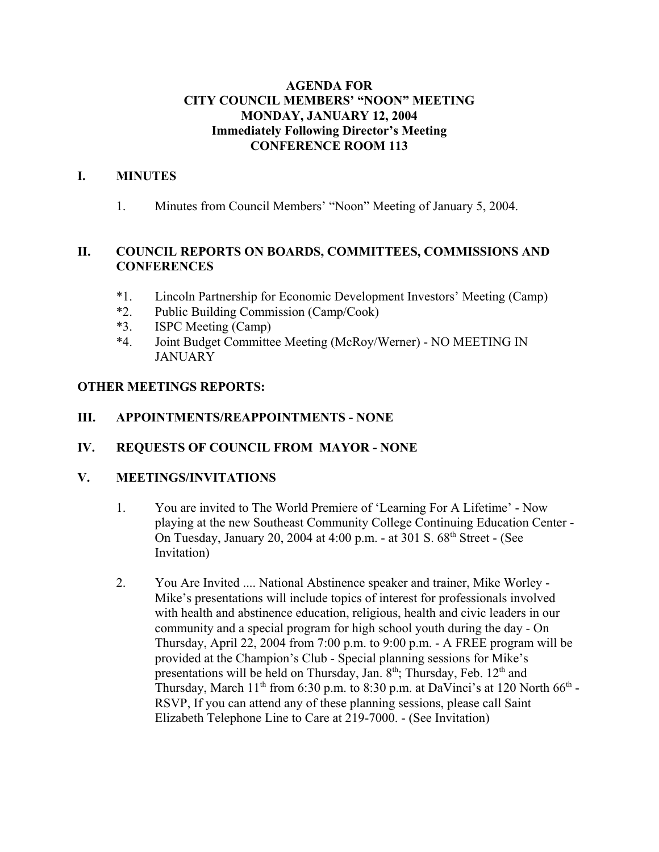# **AGENDA FOR CITY COUNCIL MEMBERS' "NOON" MEETING MONDAY, JANUARY 12, 2004 Immediately Following Director's Meeting CONFERENCE ROOM 113**

## **I. MINUTES**

1. Minutes from Council Members' "Noon" Meeting of January 5, 2004.

# **II. COUNCIL REPORTS ON BOARDS, COMMITTEES, COMMISSIONS AND CONFERENCES**

- \*1. Lincoln Partnership for Economic Development Investors' Meeting (Camp)
- \*2. Public Building Commission (Camp/Cook)
- \*3. ISPC Meeting (Camp)
- \*4. Joint Budget Committee Meeting (McRoy/Werner) NO MEETING IN JANUARY

# **OTHER MEETINGS REPORTS:**

# **III. APPOINTMENTS/REAPPOINTMENTS - NONE**

**IV. REQUESTS OF COUNCIL FROM MAYOR - NONE** 

# **V. MEETINGS/INVITATIONS**

- 1. You are invited to The World Premiere of 'Learning For A Lifetime' Now playing at the new Southeast Community College Continuing Education Center - On Tuesday, January 20, 2004 at 4:00 p.m. - at 301 S. 68<sup>th</sup> Street - (See Invitation)
- 2. You Are Invited .... National Abstinence speaker and trainer, Mike Worley Mike's presentations will include topics of interest for professionals involved with health and abstinence education, religious, health and civic leaders in our community and a special program for high school youth during the day - On Thursday, April 22, 2004 from 7:00 p.m. to 9:00 p.m. - A FREE program will be provided at the Champion's Club - Special planning sessions for Mike's presentations will be held on Thursday, Jan. 8<sup>th</sup>; Thursday, Feb. 12<sup>th</sup> and Thursday, March  $11<sup>th</sup>$  from 6:30 p.m. to 8:30 p.m. at DaVinci's at 120 North 66<sup>th</sup> -RSVP, If you can attend any of these planning sessions, please call Saint Elizabeth Telephone Line to Care at 219-7000. - (See Invitation)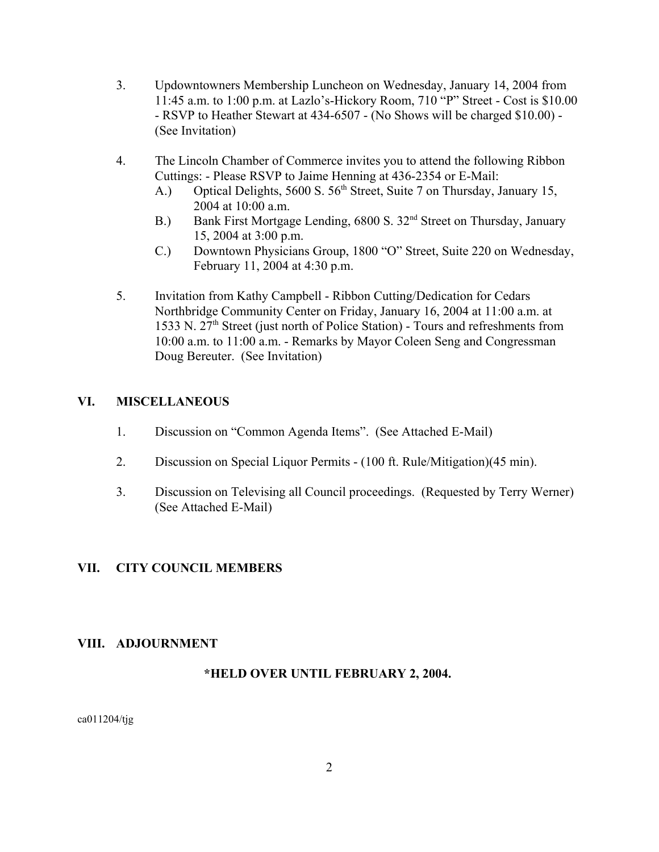- 3. Updowntowners Membership Luncheon on Wednesday, January 14, 2004 from 11:45 a.m. to 1:00 p.m. at Lazlo's-Hickory Room, 710 "P" Street - Cost is \$10.00 - RSVP to Heather Stewart at 434-6507 - (No Shows will be charged \$10.00) - (See Invitation)
- 4. The Lincoln Chamber of Commerce invites you to attend the following Ribbon Cuttings: - Please RSVP to Jaime Henning at 436-2354 or E-Mail:
	- A.) Optical Delights, 5600 S. 56<sup>th</sup> Street, Suite 7 on Thursday, January 15, 2004 at 10:00 a.m.
	- B.) Bank First Mortgage Lending, 6800 S. 32<sup>nd</sup> Street on Thursday, January 15, 2004 at 3:00 p.m.
	- C.) Downtown Physicians Group, 1800 "O" Street, Suite 220 on Wednesday, February 11, 2004 at 4:30 p.m.
- 5. Invitation from Kathy Campbell Ribbon Cutting/Dedication for Cedars Northbridge Community Center on Friday, January 16, 2004 at 11:00 a.m. at 1533 N.  $27<sup>th</sup>$  Street (just north of Police Station) - Tours and refreshments from 10:00 a.m. to 11:00 a.m. - Remarks by Mayor Coleen Seng and Congressman Doug Bereuter. (See Invitation)

# **VI. MISCELLANEOUS**

- 1. Discussion on "Common Agenda Items". (See Attached E-Mail)
- 2. Discussion on Special Liquor Permits (100 ft. Rule/Mitigation)(45 min).
- 3. Discussion on Televising all Council proceedings. (Requested by Terry Werner) (See Attached E-Mail)

# **VII. CITY COUNCIL MEMBERS**

# **VIII. ADJOURNMENT**

### **\*HELD OVER UNTIL FEBRUARY 2, 2004.**

ca011204/tjg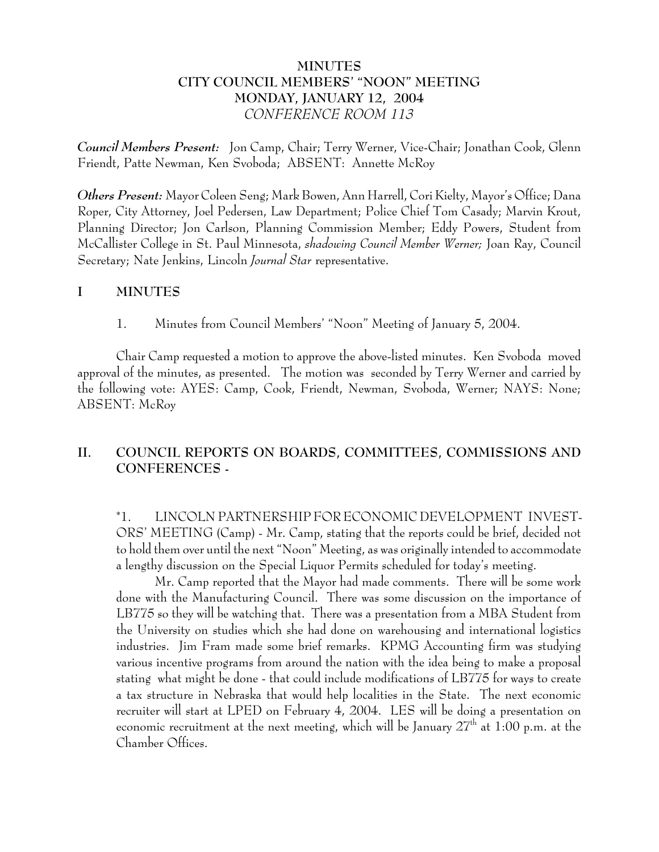# **MINUTES CITY COUNCIL MEMBERS' "NOON" MEETING MONDAY, JANUARY 12, 2004** *CONFERENCE ROOM 113*

*Council Members Present:* Jon Camp, Chair; Terry Werner, Vice-Chair; Jonathan Cook, Glenn Friendt, Patte Newman, Ken Svoboda; ABSENT: Annette McRoy

*Others Present:* Mayor Coleen Seng; Mark Bowen, Ann Harrell, Cori Kielty, Mayor's Office; Dana Roper, City Attorney, Joel Pedersen, Law Department; Police Chief Tom Casady; Marvin Krout, Planning Director; Jon Carlson, Planning Commission Member; Eddy Powers, Student from McCallister College in St. Paul Minnesota, *shadowing Council Member Werner;* Joan Ray, Council Secretary; Nate Jenkins, Lincoln *Journal Star* representative.

## **I MINUTES**

1. Minutes from Council Members' "Noon" Meeting of January 5, 2004.

Chair Camp requested a motion to approve the above-listed minutes. Ken Svoboda moved approval of the minutes, as presented. The motion was seconded by Terry Werner and carried by the following vote: AYES: Camp, Cook, Friendt, Newman, Svoboda, Werner; NAYS: None; ABSENT: McRoy

# **II. COUNCIL REPORTS ON BOARDS, COMMITTEES, COMMISSIONS AND CONFERENCES -**

\*1. LINCOLN PARTNERSHIP FOR ECONOMIC DEVELOPMENT INVEST-ORS' MEETING (Camp) - Mr. Camp, stating that the reports could be brief, decided not to hold them over until the next "Noon" Meeting, as was originally intended to accommodate a lengthy discussion on the Special Liquor Permits scheduled for today's meeting.

Mr. Camp reported that the Mayor had made comments. There will be some work done with the Manufacturing Council. There was some discussion on the importance of LB775 so they will be watching that. There was a presentation from a MBA Student from the University on studies which she had done on warehousing and international logistics industries. Jim Fram made some brief remarks. KPMG Accounting firm was studying various incentive programs from around the nation with the idea being to make a proposal stating what might be done - that could include modifications of LB775 for ways to create a tax structure in Nebraska that would help localities in the State. The next economic recruiter will start at LPED on February 4, 2004. LES will be doing a presentation on economic recruitment at the next meeting, which will be January  $27<sup>th</sup>$  at 1:00 p.m. at the Chamber Offices.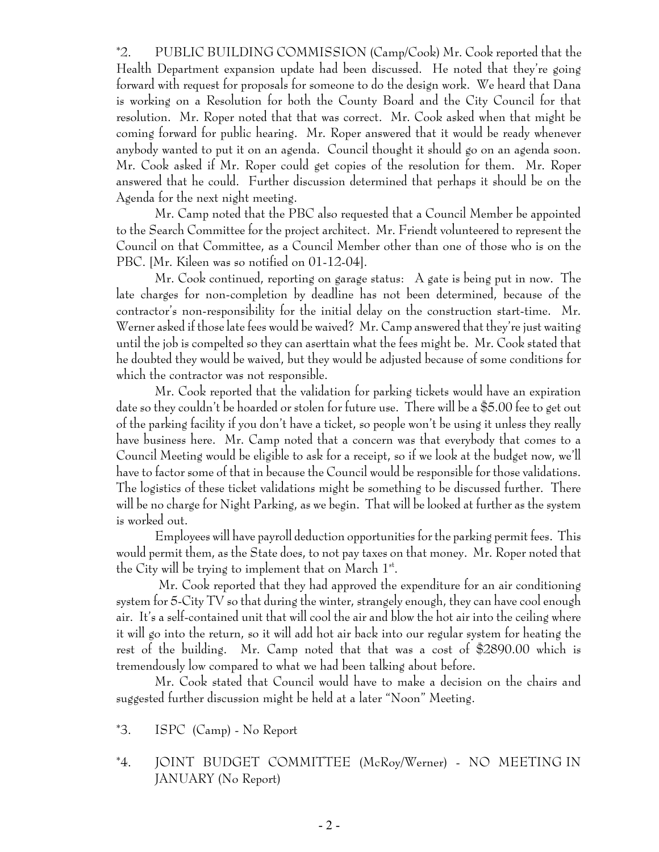\*2. PUBLIC BUILDING COMMISSION (Camp/Cook) Mr. Cook reported that the Health Department expansion update had been discussed. He noted that they're going forward with request for proposals for someone to do the design work. We heard that Dana is working on a Resolution for both the County Board and the City Council for that resolution. Mr. Roper noted that that was correct. Mr. Cook asked when that might be coming forward for public hearing. Mr. Roper answered that it would be ready whenever anybody wanted to put it on an agenda. Council thought it should go on an agenda soon. Mr. Cook asked if Mr. Roper could get copies of the resolution for them. Mr. Roper answered that he could. Further discussion determined that perhaps it should be on the Agenda for the next night meeting.

Mr. Camp noted that the PBC also requested that a Council Member be appointed to the Search Committee for the project architect. Mr. Friendt volunteered to represent the Council on that Committee, as a Council Member other than one of those who is on the PBC. [Mr. Kileen was so notified on 01-12-04].

Mr. Cook continued, reporting on garage status: A gate is being put in now. The late charges for non-completion by deadline has not been determined, because of the contractor's non-responsibility for the initial delay on the construction start-time. Mr. Werner asked if those late fees would be waived? Mr. Camp answered that they're just waiting until the job is compelted so they can aserttain what the fees might be. Mr. Cook stated that he doubted they would be waived, but they would be adjusted because of some conditions for which the contractor was not responsible.

Mr. Cook reported that the validation for parking tickets would have an expiration date so they couldn't be hoarded or stolen for future use. There will be a \$5.00 fee to get out of the parking facility if you don't have a ticket, so people won't be using it unless they really have business here. Mr. Camp noted that a concern was that everybody that comes to a Council Meeting would be eligible to ask for a receipt, so if we look at the budget now, we'll have to factor some of that in because the Council would be responsible for those validations. The logistics of these ticket validations might be something to be discussed further. There will be no charge for Night Parking, as we begin. That will be looked at further as the system is worked out.

Employees will have payroll deduction opportunities for the parking permit fees. This would permit them, as the State does, to not pay taxes on that money. Mr. Roper noted that the City will be trying to implement that on March  $1^{st}$ .

 Mr. Cook reported that they had approved the expenditure for an air conditioning system for 5-City TV so that during the winter, strangely enough, they can have cool enough air. It's a self-contained unit that will cool the air and blow the hot air into the ceiling where it will go into the return, so it will add hot air back into our regular system for heating the rest of the building. Mr. Camp noted that that was a cost of \$2890.00 which is tremendously low compared to what we had been talking about before.

Mr. Cook stated that Council would have to make a decision on the chairs and suggested further discussion might be held at a later "Noon" Meeting.

- \*3. ISPC (Camp) No Report
- \*4. JOINT BUDGET COMMITTEE (McRoy/Werner) NO MEETING IN JANUARY (No Report)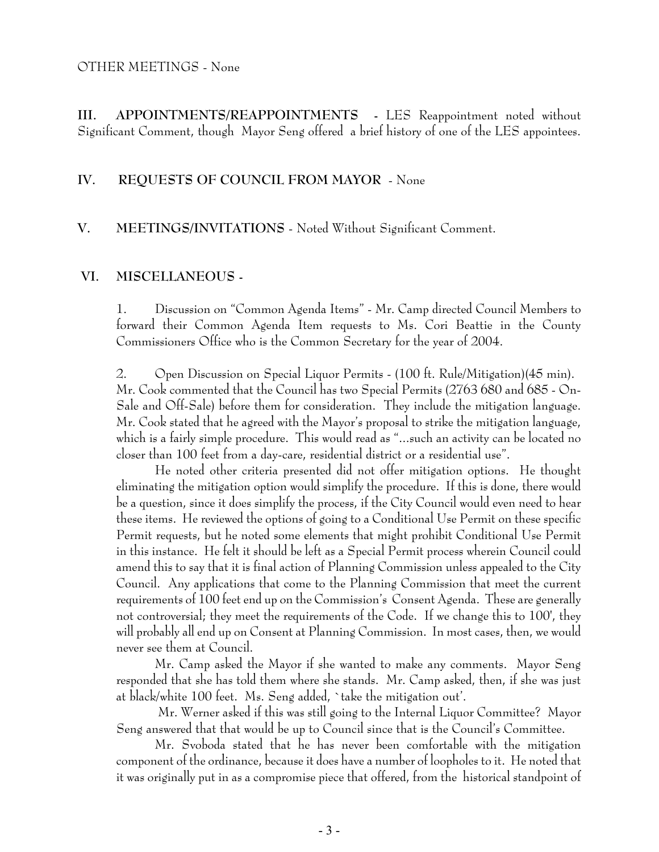#### OTHER MEETINGS - None

**III. APPOINTMENTS/REAPPOINTMENTS -** LES Reappointment noted without Significant Comment, though Mayor Seng offered a brief history of one of the LES appointees.

### **IV. REQUESTS OF COUNCIL FROM MAYOR** - None

## **V. MEETINGS/INVITATIONS** - Noted Without Significant Comment.

### **VI. MISCELLANEOUS -**

1. Discussion on "Common Agenda Items" - Mr. Camp directed Council Members to forward their Common Agenda Item requests to Ms. Cori Beattie in the County Commissioners Office who is the Common Secretary for the year of 2004.

2. Open Discussion on Special Liquor Permits - (100 ft. Rule/Mitigation)(45 min). Mr. Cook commented that the Council has two Special Permits (2763 680 and 685 - On-Sale and Off-Sale) before them for consideration. They include the mitigation language. Mr. Cook stated that he agreed with the Mayor's proposal to strike the mitigation language, which is a fairly simple procedure. This would read as "...such an activity can be located no closer than 100 feet from a day-care, residential district or a residential use".

He noted other criteria presented did not offer mitigation options. He thought eliminating the mitigation option would simplify the procedure. If this is done, there would be a question, since it does simplify the process, if the City Council would even need to hear these items. He reviewed the options of going to a Conditional Use Permit on these specific Permit requests, but he noted some elements that might prohibit Conditional Use Permit in this instance. He felt it should be left as a Special Permit process wherein Council could amend this to say that it is final action of Planning Commission unless appealed to the City Council. Any applications that come to the Planning Commission that meet the current requirements of 100 feet end up on the Commission's Consent Agenda. These are generally not controversial; they meet the requirements of the Code. If we change this to 100', they will probably all end up on Consent at Planning Commission. In most cases, then, we would never see them at Council.

Mr. Camp asked the Mayor if she wanted to make any comments. Mayor Seng responded that she has told them where she stands. Mr. Camp asked, then, if she was just at black/white 100 feet. Ms. Seng added, `take the mitigation out'.

 Mr. Werner asked if this was still going to the Internal Liquor Committee? Mayor Seng answered that that would be up to Council since that is the Council's Committee.

Mr. Svoboda stated that he has never been comfortable with the mitigation component of the ordinance, because it does have a number of loopholes to it. He noted that it was originally put in as a compromise piece that offered, from the historical standpoint of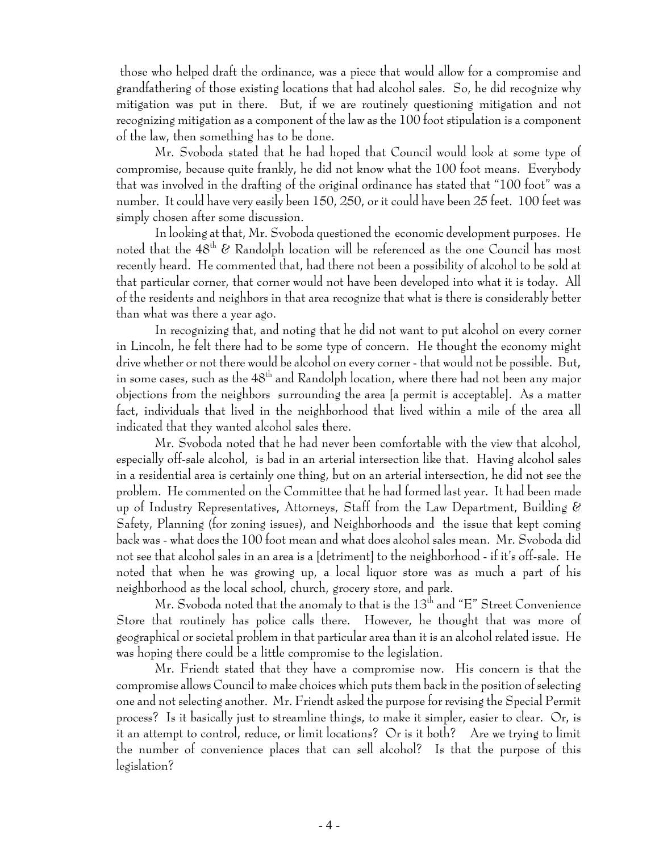those who helped draft the ordinance, was a piece that would allow for a compromise and grandfathering of those existing locations that had alcohol sales. So, he did recognize why mitigation was put in there. But, if we are routinely questioning mitigation and not recognizing mitigation as a component of the law as the 100 foot stipulation is a component of the law, then something has to be done.

Mr. Svoboda stated that he had hoped that Council would look at some type of compromise, because quite frankly, he did not know what the 100 foot means. Everybody that was involved in the drafting of the original ordinance has stated that "100 foot" was a number. It could have very easily been 150, 250, or it could have been 25 feet. 100 feet was simply chosen after some discussion.

In looking at that, Mr. Svoboda questioned the economic development purposes. He noted that the  $48<sup>th</sup>$  & Randolph location will be referenced as the one Council has most recently heard. He commented that, had there not been a possibility of alcohol to be sold at that particular corner, that corner would not have been developed into what it is today. All of the residents and neighbors in that area recognize that what is there is considerably better than what was there a year ago.

In recognizing that, and noting that he did not want to put alcohol on every corner in Lincoln, he felt there had to be some type of concern. He thought the economy might drive whether or not there would be alcohol on every corner - that would not be possible. But, in some cases, such as the  $48<sup>th</sup>$  and Randolph location, where there had not been any major objections from the neighbors surrounding the area [a permit is acceptable]. As a matter fact, individuals that lived in the neighborhood that lived within a mile of the area all indicated that they wanted alcohol sales there.

Mr. Svoboda noted that he had never been comfortable with the view that alcohol, especially off-sale alcohol, is bad in an arterial intersection like that. Having alcohol sales in a residential area is certainly one thing, but on an arterial intersection, he did not see the problem. He commented on the Committee that he had formed last year. It had been made up of Industry Representatives, Attorneys, Staff from the Law Department, Building & Safety, Planning (for zoning issues), and Neighborhoods and the issue that kept coming back was - what does the 100 foot mean and what does alcohol sales mean. Mr. Svoboda did not see that alcohol sales in an area is a [detriment] to the neighborhood - if it's off-sale. He noted that when he was growing up, a local liquor store was as much a part of his neighborhood as the local school, church, grocery store, and park.

Mr. Svoboda noted that the anomaly to that is the  $13<sup>th</sup>$  and "E" Street Convenience Store that routinely has police calls there. However, he thought that was more of geographical or societal problem in that particular area than it is an alcohol related issue. He was hoping there could be a little compromise to the legislation.

Mr. Friendt stated that they have a compromise now. His concern is that the compromise allows Council to make choices which puts them back in the position of selecting one and not selecting another. Mr. Friendt asked the purpose for revising the Special Permit process? Is it basically just to streamline things, to make it simpler, easier to clear. Or, is it an attempt to control, reduce, or limit locations? Or is it both? Are we trying to limit the number of convenience places that can sell alcohol? Is that the purpose of this legislation?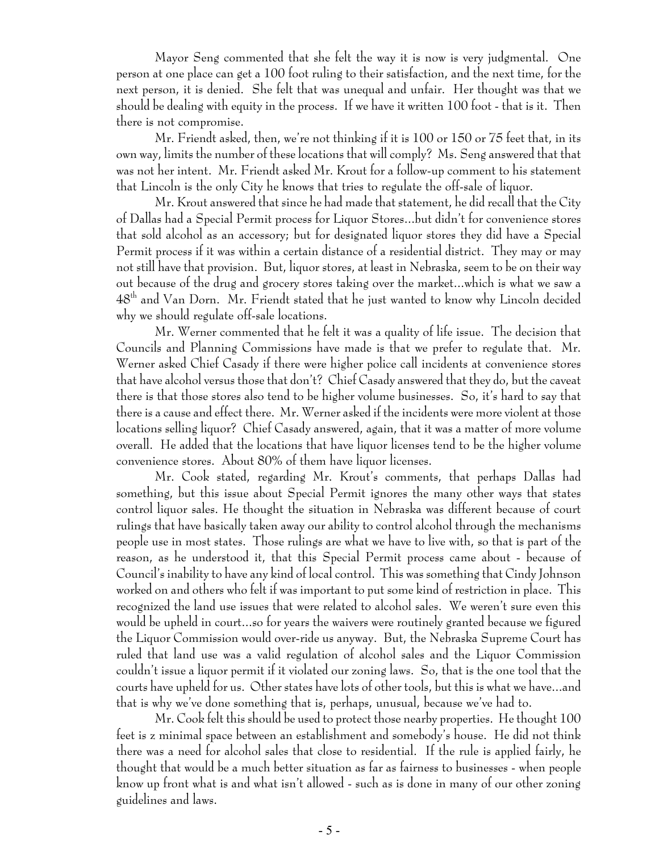Mayor Seng commented that she felt the way it is now is very judgmental. One person at one place can get a 100 foot ruling to their satisfaction, and the next time, for the next person, it is denied. She felt that was unequal and unfair. Her thought was that we should be dealing with equity in the process. If we have it written 100 foot - that is it. Then there is not compromise.

Mr. Friendt asked, then, we're not thinking if it is 100 or 150 or 75 feet that, in its own way, limits the number of these locations that will comply? Ms. Seng answered that that was not her intent. Mr. Friendt asked Mr. Krout for a follow-up comment to his statement that Lincoln is the only City he knows that tries to regulate the off-sale of liquor.

Mr. Krout answered that since he had made that statement, he did recall that the City of Dallas had a Special Permit process for Liquor Stores...but didn't for convenience stores that sold alcohol as an accessory; but for designated liquor stores they did have a Special Permit process if it was within a certain distance of a residential district. They may or may not still have that provision. But, liquor stores, at least in Nebraska, seem to be on their way out because of the drug and grocery stores taking over the market...which is what we saw a 48th and Van Dorn. Mr. Friendt stated that he just wanted to know why Lincoln decided why we should regulate off-sale locations.

Mr. Werner commented that he felt it was a quality of life issue. The decision that Councils and Planning Commissions have made is that we prefer to regulate that. Mr. Werner asked Chief Casady if there were higher police call incidents at convenience stores that have alcohol versus those that don't? Chief Casady answered that they do, but the caveat there is that those stores also tend to be higher volume businesses. So, it's hard to say that there is a cause and effect there. Mr. Werner asked if the incidents were more violent at those locations selling liquor? Chief Casady answered, again, that it was a matter of more volume overall. He added that the locations that have liquor licenses tend to be the higher volume convenience stores. About 80% of them have liquor licenses.

Mr. Cook stated, regarding Mr. Krout's comments, that perhaps Dallas had something, but this issue about Special Permit ignores the many other ways that states control liquor sales. He thought the situation in Nebraska was different because of court rulings that have basically taken away our ability to control alcohol through the mechanisms people use in most states. Those rulings are what we have to live with, so that is part of the reason, as he understood it, that this Special Permit process came about - because of Council's inability to have any kind of local control. This was something that Cindy Johnson worked on and others who felt if was important to put some kind of restriction in place. This recognized the land use issues that were related to alcohol sales. We weren't sure even this would be upheld in court...so for years the waivers were routinely granted because we figured the Liquor Commission would over-ride us anyway. But, the Nebraska Supreme Court has ruled that land use was a valid regulation of alcohol sales and the Liquor Commission couldn't issue a liquor permit if it violated our zoning laws. So, that is the one tool that the courts have upheld for us. Other states have lots of other tools, but this is what we have...and that is why we've done something that is, perhaps, unusual, because we've had to.

Mr. Cook felt this should be used to protect those nearby properties. He thought 100 feet is z minimal space between an establishment and somebody's house. He did not think there was a need for alcohol sales that close to residential. If the rule is applied fairly, he thought that would be a much better situation as far as fairness to businesses - when people know up front what is and what isn't allowed - such as is done in many of our other zoning guidelines and laws.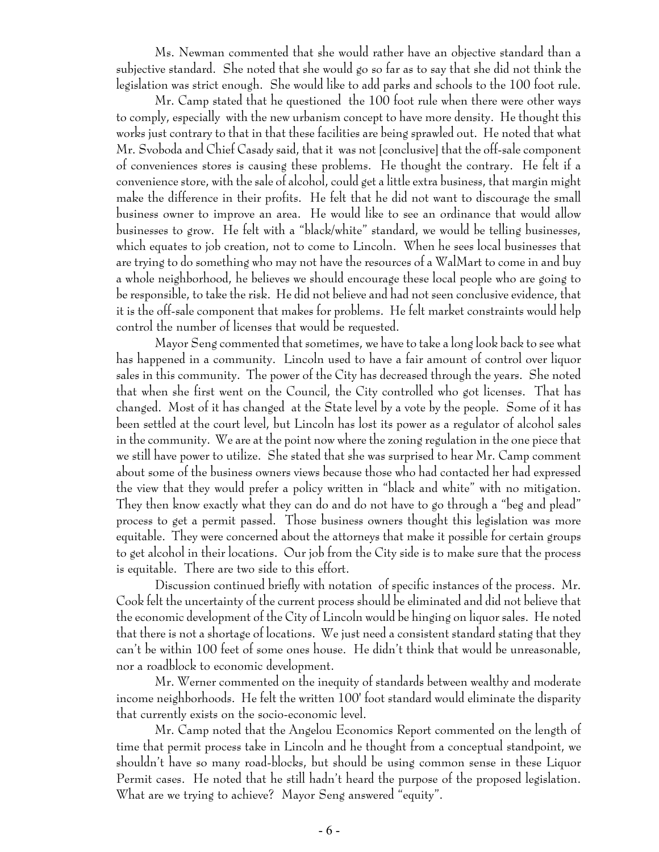Ms. Newman commented that she would rather have an objective standard than a subjective standard. She noted that she would go so far as to say that she did not think the legislation was strict enough. She would like to add parks and schools to the 100 foot rule.

Mr. Camp stated that he questioned the 100 foot rule when there were other ways to comply, especially with the new urbanism concept to have more density. He thought this works just contrary to that in that these facilities are being sprawled out. He noted that what Mr. Svoboda and Chief Casady said, that it was not [conclusive] that the off-sale component of conveniences stores is causing these problems. He thought the contrary. He felt if a convenience store, with the sale of alcohol, could get a little extra business, that margin might make the difference in their profits. He felt that he did not want to discourage the small business owner to improve an area. He would like to see an ordinance that would allow businesses to grow. He felt with a "black/white" standard, we would be telling businesses, which equates to job creation, not to come to Lincoln. When he sees local businesses that are trying to do something who may not have the resources of a WalMart to come in and buy a whole neighborhood, he believes we should encourage these local people who are going to be responsible, to take the risk. He did not believe and had not seen conclusive evidence, that it is the off-sale component that makes for problems. He felt market constraints would help control the number of licenses that would be requested.

Mayor Seng commented that sometimes, we have to take a long look back to see what has happened in a community. Lincoln used to have a fair amount of control over liquor sales in this community. The power of the City has decreased through the years. She noted that when she first went on the Council, the City controlled who got licenses. That has changed. Most of it has changed at the State level by a vote by the people. Some of it has been settled at the court level, but Lincoln has lost its power as a regulator of alcohol sales in the community. We are at the point now where the zoning regulation in the one piece that we still have power to utilize. She stated that she was surprised to hear Mr. Camp comment about some of the business owners views because those who had contacted her had expressed the view that they would prefer a policy written in "black and white" with no mitigation. They then know exactly what they can do and do not have to go through a "beg and plead" process to get a permit passed. Those business owners thought this legislation was more equitable. They were concerned about the attorneys that make it possible for certain groups to get alcohol in their locations. Our job from the City side is to make sure that the process is equitable. There are two side to this effort.

Discussion continued briefly with notation of specific instances of the process. Mr. Cook felt the uncertainty of the current process should be eliminated and did not believe that the economic development of the City of Lincoln would be hinging on liquor sales. He noted that there is not a shortage of locations. We just need a consistent standard stating that they can't be within 100 feet of some ones house. He didn't think that would be unreasonable, nor a roadblock to economic development.

Mr. Werner commented on the inequity of standards between wealthy and moderate income neighborhoods. He felt the written 100' foot standard would eliminate the disparity that currently exists on the socio-economic level.

Mr. Camp noted that the Angelou Economics Report commented on the length of time that permit process take in Lincoln and he thought from a conceptual standpoint, we shouldn't have so many road-blocks, but should be using common sense in these Liquor Permit cases. He noted that he still hadn't heard the purpose of the proposed legislation. What are we trying to achieve? Mayor Seng answered "equity".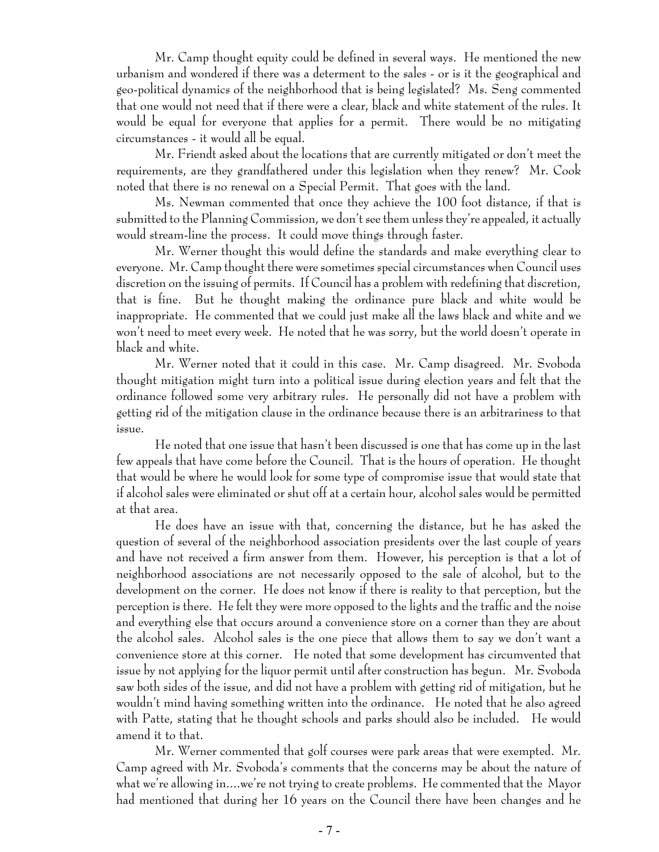Mr. Camp thought equity could be defined in several ways. He mentioned the new urbanism and wondered if there was a determent to the sales - or is it the geographical and geo-political dynamics of the neighborhood that is being legislated? Ms. Seng commented that one would not need that if there were a clear, black and white statement of the rules. It would be equal for everyone that applies for a permit. There would be no mitigating circumstances - it would all be equal.

Mr. Friendt asked about the locations that are currently mitigated or don't meet the requirements, are they grandfathered under this legislation when they renew? Mr. Cook noted that there is no renewal on a Special Permit. That goes with the land.

Ms. Newman commented that once they achieve the 100 foot distance, if that is submitted to the Planning Commission, we don't see them unless they're appealed, it actually would stream-line the process. It could move things through faster.

Mr. Werner thought this would define the standards and make everything clear to everyone. Mr. Camp thought there were sometimes special circumstances when Council uses discretion on the issuing of permits. If Council has a problem with redefining that discretion, that is fine. But he thought making the ordinance pure black and white would be inappropriate. He commented that we could just make all the laws black and white and we won't need to meet every week. He noted that he was sorry, but the world doesn't operate in black and white.

Mr. Werner noted that it could in this case. Mr. Camp disagreed. Mr. Svoboda thought mitigation might turn into a political issue during election years and felt that the ordinance followed some very arbitrary rules. He personally did not have a problem with getting rid of the mitigation clause in the ordinance because there is an arbitrariness to that issue.

He noted that one issue that hasn't been discussed is one that has come up in the last few appeals that have come before the Council. That is the hours of operation. He thought that would be where he would look for some type of compromise issue that would state that if alcohol sales were eliminated or shut off at a certain hour, alcohol sales would be permitted at that area.

He does have an issue with that, concerning the distance, but he has asked the question of several of the neighborhood association presidents over the last couple of years and have not received a firm answer from them. However, his perception is that a lot of neighborhood associations are not necessarily opposed to the sale of alcohol, but to the development on the corner. He does not know if there is reality to that perception, but the perception is there. He felt they were more opposed to the lights and the traffic and the noise and everything else that occurs around a convenience store on a corner than they are about the alcohol sales. Alcohol sales is the one piece that allows them to say we don't want a convenience store at this corner. He noted that some development has circumvented that issue by not applying for the liquor permit until after construction has begun. Mr. Svoboda saw both sides of the issue, and did not have a problem with getting rid of mitigation, but he wouldn't mind having something written into the ordinance. He noted that he also agreed with Patte, stating that he thought schools and parks should also be included. He would amend it to that.

Mr. Werner commented that golf courses were park areas that were exempted. Mr. Camp agreed with Mr. Svoboda's comments that the concerns may be about the nature of what we're allowing in....we're not trying to create problems. He commented that the Mayor had mentioned that during her 16 years on the Council there have been changes and he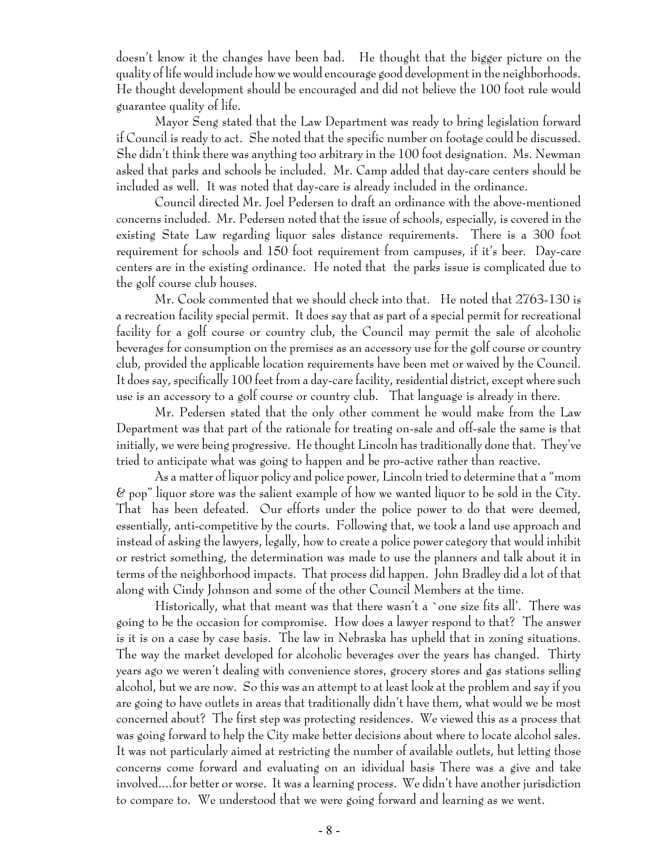doesn't know it the changes have been bad. He thought that the bigger picture on the quality of life would include how we would encourage good development in the neighborhoods. He thought development should be encouraged and did not believe the 100 foot rule would guarantee quality of life.

Mayor Seng stated that the Law Department was ready to bring legislation forward if Council is ready to act. She noted that the specific number on footage could be discussed. She didn't think there was anything too arbitrary in the 100 foot designation. Ms. Newman asked that parks and schools be included. Mr. Camp added that day-care centers should be included as well. It was noted that day-care is already included in the ordinance.

Council directed Mr. Joel Pedersen to draft an ordinance with the above-mentioned concerns included. Mr. Pedersen noted that the issue of schools, especially, is covered in the existing State Law regarding liquor sales distance requirements. There is a 300 foot requirement for schools and 150 foot requirement from campuses, if it's beer. Day-care centers are in the existing ordinance. He noted that the parks issue is complicated due to the golf course club houses.

Mr. Cook commented that we should check into that. He noted that 2763-130 is a recreation facility special permit. It does say that as part of a special permit for recreational facility for a golf course or country club, the Council may permit the sale of alcoholic beverages for consumption on the premises as an accessory use for the golf course or country club, provided the applicable location requirements have been met or waived by the Council. It does say, specifically 100 feet from a day-care facility, residential district, except where such use is an accessory to a golf course or country club. That language is already in there.

Mr. Pedersen stated that the only other comment he would make from the Law Department was that part of the rationale for treating on-sale and off-sale the same is that initially, we were being progressive. He thought Lincoln has traditionally done that. They've tried to anticipate what was going to happen and be pro-active rather than reactive.

As a matter of liquor policy and police power, Lincoln tried to determine that a "mom  $\&$  pop" liquor store was the salient example of how we wanted liquor to be sold in the City. That has been defeated. Our efforts under the police power to do that were deemed, essentially, anti-competitive by the courts. Following that, we took a land use approach and instead of asking the lawyers, legally, how to create a police power category that would inhibit or restrict something, the determination was made to use the planners and talk about it in terms of the neighborhood impacts. That process did happen. John Bradley did a lot of that along with Cindy Johnson and some of the other Council Members at the time.

Historically, what that meant was that there wasn't a `one size fits all'. There was going to be the occasion for compromise. How does a lawyer respond to that? The answer is it is on a case by case basis. The law in Nebraska has upheld that in zoning situations. The way the market developed for alcoholic beverages over the years has changed. Thirty years ago we weren't dealing with convenience stores, grocery stores and gas stations selling alcohol, but we are now. So this was an attempt to at least look at the problem and say if you are going to have outlets in areas that traditionally didn't have them, what would we be most concerned about? The first step was protecting residences. We viewed this as a process that was going forward to help the City make better decisions about where to locate alcohol sales. It was not particularly aimed at restricting the number of available outlets, but letting those concerns come forward and evaluating on an idividual basis There was a give and take involved....for better or worse. It was a learning process. We didn't have another jurisdiction to compare to. We understood that we were going forward and learning as we went.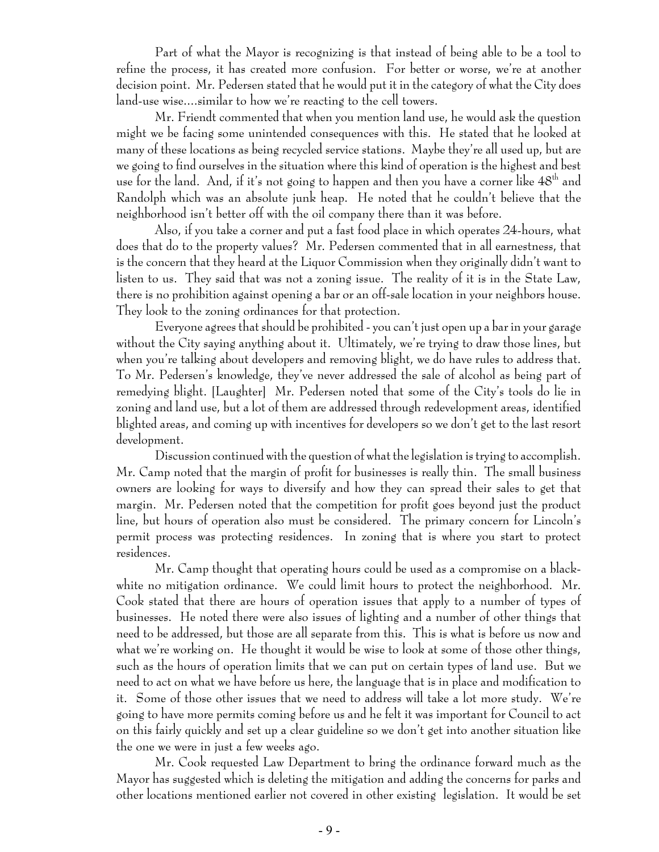Part of what the Mayor is recognizing is that instead of being able to be a tool to refine the process, it has created more confusion. For better or worse, we're at another decision point. Mr. Pedersen stated that he would put it in the category of what the City does land-use wise....similar to how we're reacting to the cell towers.

Mr. Friendt commented that when you mention land use, he would ask the question might we be facing some unintended consequences with this. He stated that he looked at many of these locations as being recycled service stations. Maybe they're all used up, but are we going to find ourselves in the situation where this kind of operation is the highest and best use for the land. And, if it's not going to happen and then you have a corner like  $48<sup>th</sup>$  and Randolph which was an absolute junk heap. He noted that he couldn't believe that the neighborhood isn't better off with the oil company there than it was before.

Also, if you take a corner and put a fast food place in which operates 24-hours, what does that do to the property values? Mr. Pedersen commented that in all earnestness, that is the concern that they heard at the Liquor Commission when they originally didn't want to listen to us. They said that was not a zoning issue. The reality of it is in the State Law, there is no prohibition against opening a bar or an off-sale location in your neighbors house. They look to the zoning ordinances for that protection.

Everyone agrees that should be prohibited - you can't just open up a bar in your garage without the City saying anything about it. Ultimately, we're trying to draw those lines, but when you're talking about developers and removing blight, we do have rules to address that. To Mr. Pedersen's knowledge, they've never addressed the sale of alcohol as being part of remedying blight. [Laughter] Mr. Pedersen noted that some of the City's tools do lie in zoning and land use, but a lot of them are addressed through redevelopment areas, identified blighted areas, and coming up with incentives for developers so we don't get to the last resort development.

Discussion continued with the question of what the legislation is trying to accomplish. Mr. Camp noted that the margin of profit for businesses is really thin. The small business owners are looking for ways to diversify and how they can spread their sales to get that margin. Mr. Pedersen noted that the competition for profit goes beyond just the product line, but hours of operation also must be considered. The primary concern for Lincoln's permit process was protecting residences. In zoning that is where you start to protect residences.

Mr. Camp thought that operating hours could be used as a compromise on a blackwhite no mitigation ordinance. We could limit hours to protect the neighborhood. Mr. Cook stated that there are hours of operation issues that apply to a number of types of businesses. He noted there were also issues of lighting and a number of other things that need to be addressed, but those are all separate from this. This is what is before us now and what we're working on. He thought it would be wise to look at some of those other things, such as the hours of operation limits that we can put on certain types of land use. But we need to act on what we have before us here, the language that is in place and modification to it. Some of those other issues that we need to address will take a lot more study. We're going to have more permits coming before us and he felt it was important for Council to act on this fairly quickly and set up a clear guideline so we don't get into another situation like the one we were in just a few weeks ago.

Mr. Cook requested Law Department to bring the ordinance forward much as the Mayor has suggested which is deleting the mitigation and adding the concerns for parks and other locations mentioned earlier not covered in other existing legislation. It would be set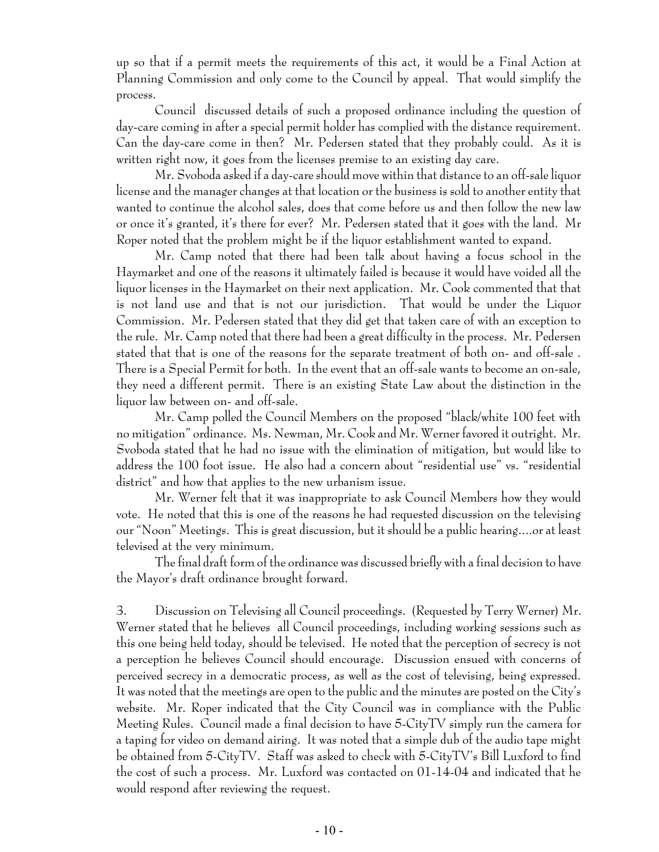up so that if a permit meets the requirements of this act, it would be a Final Action at Planning Commission and only come to the Council by appeal. That would simplify the process.

Council discussed details of such a proposed ordinance including the question of day-care coming in after a special permit holder has complied with the distance requirement. Can the day-care come in then? Mr. Pedersen stated that they probably could. As it is written right now, it goes from the licenses premise to an existing day care.

Mr. Svoboda asked if a day-care should move within that distance to an off-sale liquor license and the manager changes at that location or the business is sold to another entity that wanted to continue the alcohol sales, does that come before us and then follow the new law or once it's granted, it's there for ever? Mr. Pedersen stated that it goes with the land. Mr Roper noted that the problem might be if the liquor establishment wanted to expand.

Mr. Camp noted that there had been talk about having a focus school in the Haymarket and one of the reasons it ultimately failed is because it would have voided all the liquor licenses in the Haymarket on their next application. Mr. Cook commented that that is not land use and that is not our jurisdiction. That would be under the Liquor Commission. Mr. Pedersen stated that they did get that taken care of with an exception to the rule. Mr. Camp noted that there had been a great difficulty in the process. Mr. Pedersen stated that that is one of the reasons for the separate treatment of both on- and off-sale . There is a Special Permit for both. In the event that an off-sale wants to become an on-sale, they need a different permit. There is an existing State Law about the distinction in the liquor law between on- and off-sale.

Mr. Camp polled the Council Members on the proposed "black/white 100 feet with no mitigation" ordinance. Ms. Newman, Mr. Cook and Mr. Werner favored it outright. Mr. Svoboda stated that he had no issue with the elimination of mitigation, but would like to address the 100 foot issue. He also had a concern about "residential use" vs. "residential district" and how that applies to the new urbanism issue.

Mr. Werner felt that it was inappropriate to ask Council Members how they would vote. He noted that this is one of the reasons he had requested discussion on the televising our "Noon" Meetings. This is great discussion, but it should be a public hearing....or at least televised at the very minimum.

The final draft form of the ordinance was discussed briefly with a final decision to have the Mayor's draft ordinance brought forward.

3. Discussion on Televising all Council proceedings. (Requested by Terry Werner) Mr. Werner stated that he believes all Council proceedings, including working sessions such as this one being held today, should be televised. He noted that the perception of secrecy is not a perception he believes Council should encourage. Discussion ensued with concerns of perceived secrecy in a democratic process, as well as the cost of televising, being expressed. It was noted that the meetings are open to the public and the minutes are posted on the City's website. Mr. Roper indicated that the City Council was in compliance with the Public Meeting Rules. Council made a final decision to have 5-CityTV simply run the camera for a taping for video on demand airing. It was noted that a simple dub of the audio tape might be obtained from 5-CityTV. Staff was asked to check with 5-CityTV's Bill Luxford to find the cost of such a process. Mr. Luxford was contacted on 01-14-04 and indicated that he would respond after reviewing the request.